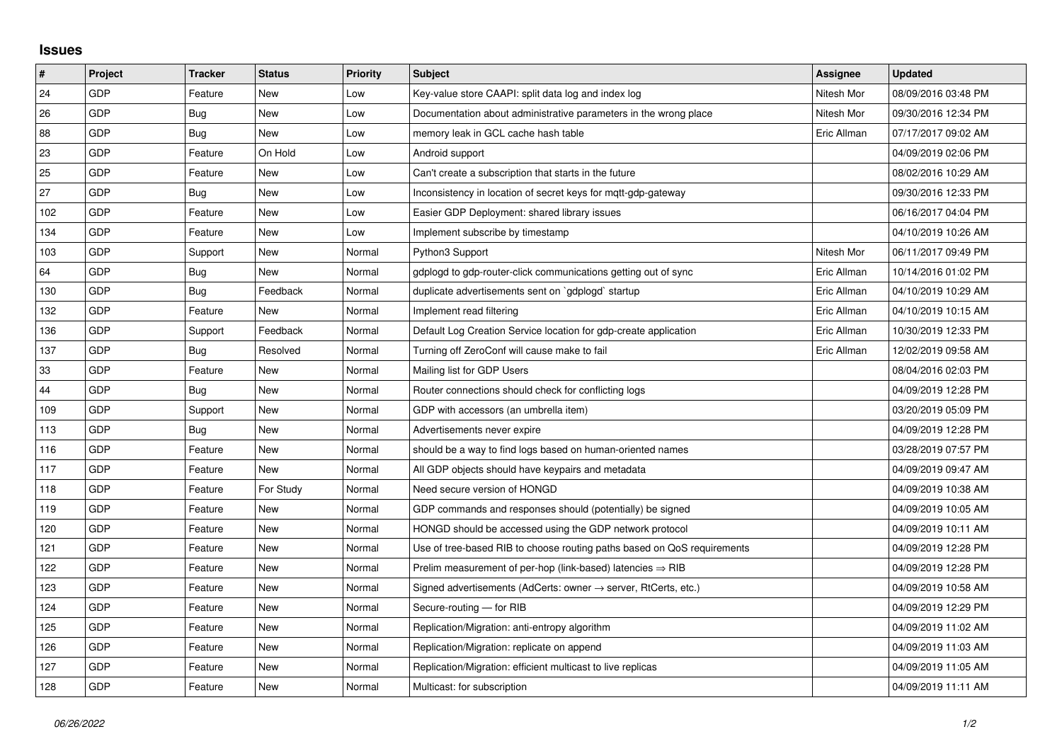## **Issues**

| #   | Project    | <b>Tracker</b> | <b>Status</b> | <b>Priority</b> | <b>Subject</b>                                                             | Assignee    | <b>Updated</b>      |
|-----|------------|----------------|---------------|-----------------|----------------------------------------------------------------------------|-------------|---------------------|
| 24  | GDP        | Feature        | <b>New</b>    | Low             | Key-value store CAAPI: split data log and index log                        | Nitesh Mor  | 08/09/2016 03:48 PM |
| 26  | GDP        | Bug            | <b>New</b>    | Low             | Documentation about administrative parameters in the wrong place           | Nitesh Mor  | 09/30/2016 12:34 PM |
| 88  | GDP        | <b>Bug</b>     | New           | Low             | memory leak in GCL cache hash table                                        | Eric Allman | 07/17/2017 09:02 AM |
| 23  | <b>GDP</b> | Feature        | On Hold       | Low             | Android support                                                            |             | 04/09/2019 02:06 PM |
| 25  | <b>GDP</b> | Feature        | <b>New</b>    | Low             | Can't create a subscription that starts in the future                      |             | 08/02/2016 10:29 AM |
| 27  | <b>GDP</b> | Bug            | New           | Low             | Inconsistency in location of secret keys for mqtt-gdp-gateway              |             | 09/30/2016 12:33 PM |
| 102 | <b>GDP</b> | Feature        | <b>New</b>    | Low             | Easier GDP Deployment: shared library issues                               |             | 06/16/2017 04:04 PM |
| 134 | GDP        | Feature        | <b>New</b>    | Low             | Implement subscribe by timestamp                                           |             | 04/10/2019 10:26 AM |
| 103 | <b>GDP</b> | Support        | New           | Normal          | Python3 Support                                                            | Nitesh Mor  | 06/11/2017 09:49 PM |
| 64  | <b>GDP</b> | <b>Bug</b>     | <b>New</b>    | Normal          | gdplogd to gdp-router-click communications getting out of sync             | Eric Allman | 10/14/2016 01:02 PM |
| 130 | GDP        | Bug            | Feedback      | Normal          | duplicate advertisements sent on `gdplogd` startup                         | Eric Allman | 04/10/2019 10:29 AM |
| 132 | <b>GDP</b> | Feature        | New           | Normal          | Implement read filtering                                                   | Eric Allman | 04/10/2019 10:15 AM |
| 136 | <b>GDP</b> | Support        | Feedback      | Normal          | Default Log Creation Service location for gdp-create application           | Eric Allman | 10/30/2019 12:33 PM |
| 137 | GDP        | Bug            | Resolved      | Normal          | Turning off ZeroConf will cause make to fail                               | Eric Allman | 12/02/2019 09:58 AM |
| 33  | <b>GDP</b> | Feature        | <b>New</b>    | Normal          | Mailing list for GDP Users                                                 |             | 08/04/2016 02:03 PM |
| 44  | <b>GDP</b> | Bug            | New           | Normal          | Router connections should check for conflicting logs                       |             | 04/09/2019 12:28 PM |
| 109 | GDP        | Support        | <b>New</b>    | Normal          | GDP with accessors (an umbrella item)                                      |             | 03/20/2019 05:09 PM |
| 113 | <b>GDP</b> | Bug            | New           | Normal          | Advertisements never expire                                                |             | 04/09/2019 12:28 PM |
| 116 | GDP        | Feature        | <b>New</b>    | Normal          | should be a way to find logs based on human-oriented names                 |             | 03/28/2019 07:57 PM |
| 117 | <b>GDP</b> | Feature        | <b>New</b>    | Normal          | All GDP objects should have keypairs and metadata                          |             | 04/09/2019 09:47 AM |
| 118 | <b>GDP</b> | Feature        | For Study     | Normal          | Need secure version of HONGD                                               |             | 04/09/2019 10:38 AM |
| 119 | <b>GDP</b> | Feature        | <b>New</b>    | Normal          | GDP commands and responses should (potentially) be signed                  |             | 04/09/2019 10:05 AM |
| 120 | GDP        | Feature        | <b>New</b>    | Normal          | HONGD should be accessed using the GDP network protocol                    |             | 04/09/2019 10:11 AM |
| 121 | <b>GDP</b> | Feature        | <b>New</b>    | Normal          | Use of tree-based RIB to choose routing paths based on QoS requirements    |             | 04/09/2019 12:28 PM |
| 122 | GDP        | Feature        | New           | Normal          | Prelim measurement of per-hop (link-based) latencies $\Rightarrow$ RIB     |             | 04/09/2019 12:28 PM |
| 123 | GDP        | Feature        | New           | Normal          | Signed advertisements (AdCerts: owner $\rightarrow$ server, RtCerts, etc.) |             | 04/09/2019 10:58 AM |
| 124 | <b>GDP</b> | Feature        | New           | Normal          | Secure-routing - for RIB                                                   |             | 04/09/2019 12:29 PM |
| 125 | GDP        | Feature        | <b>New</b>    | Normal          | Replication/Migration: anti-entropy algorithm                              |             | 04/09/2019 11:02 AM |
| 126 | GDP        | Feature        | <b>New</b>    | Normal          | Replication/Migration: replicate on append                                 |             | 04/09/2019 11:03 AM |
| 127 | <b>GDP</b> | Feature        | New           | Normal          | Replication/Migration: efficient multicast to live replicas                |             | 04/09/2019 11:05 AM |
| 128 | GDP        | Feature        | <b>New</b>    | Normal          | Multicast: for subscription                                                |             | 04/09/2019 11:11 AM |